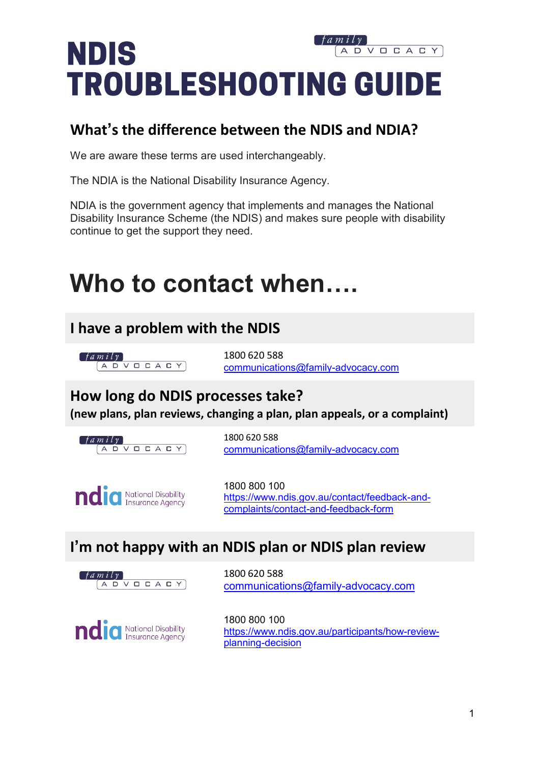### **NDIS** VOCACY  $\Box$ **TROUBLESHOOTING GUIDE**

### **What's the difference between the NDIS and NDIA?**

We are aware these terms are used interchangeably.

The NDIA is the National Disability Insurance Agency.

NDIA is the government agency that implements and manages the National Disability Insurance Scheme (the NDIS) and makes sure people with disability continue to get the support they need.

# **Who to contact when….**

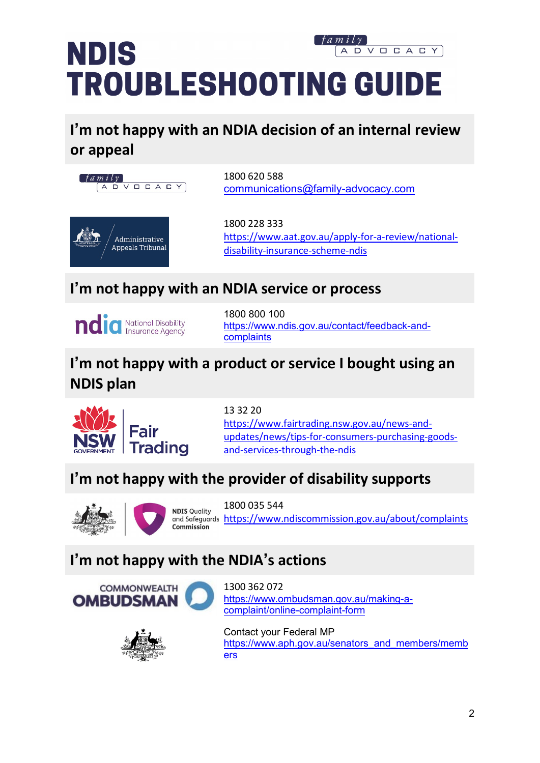### **NDIS** VOCACY D **TROUBLESHOOTING GUIDE**

### **I'm not happy with an NDIA decision of an internal review or appeal**



1800 620 588 [communications@family-advocacy.com](mailto:communications@family-advocacy.com)

1800 228 333 [https://www.aat.gov.au/apply-for-a-review/national](https://www.aat.gov.au/apply-for-a-review/national-disability-insurance-scheme-ndis)[disability-insurance-scheme-ndis](https://www.aat.gov.au/apply-for-a-review/national-disability-insurance-scheme-ndis)

### **I'm not happy with an NDIA service or process**



1800 800 100 [https://www.ndis.gov.au/contact/feedback-and](https://www.ndis.gov.au/contact/feedback-and-complaints)[complaints](https://www.ndis.gov.au/contact/feedback-and-complaints)

### **I'm not happy with a product or service I bought using an NDIS plan**



13 32 20 [https://www.fairtrading.nsw.gov.au/news-and](https://www.fairtrading.nsw.gov.au/news-and-updates/news/tips-for-consumers-purchasing-goods-and-services-through-the-ndis)[updates/news/tips-for-consumers-purchasing-goods](https://www.fairtrading.nsw.gov.au/news-and-updates/news/tips-for-consumers-purchasing-goods-and-services-through-the-ndis)[and-services-through-the-ndis](https://www.fairtrading.nsw.gov.au/news-and-updates/news/tips-for-consumers-purchasing-goods-and-services-through-the-ndis)

### **I'm not happy with the provider of disability supports**





1800 035 544 and Safeguards <https://www.ndiscommission.gov.au/about/complaints>

### **I'm not happy with the NDIA's actions**





1300 362 072 [https://www.ombudsman.gov.au/making-a](https://www.ombudsman.gov.au/making-a-complaint/online-complaint-form)[complaint/online-complaint-form](https://www.ombudsman.gov.au/making-a-complaint/online-complaint-form)

Contact your Federal MP [https://www.aph.gov.au/senators\\_and\\_members/memb](https://www.aph.gov.au/senators_and_members/members) [ers](https://www.aph.gov.au/senators_and_members/members)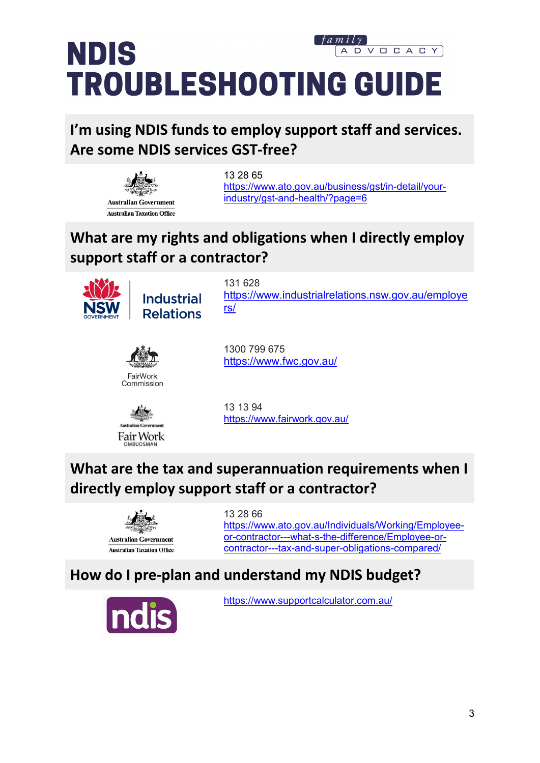### **NDIS** VOCACY  $\Box$ **TROUBLESHOOTING GUIDE**

**I'm using NDIS funds to employ support staff and services. Are some NDIS services GST-free?**



13 28 65 [https://www.ato.gov.au/business/gst/in-detail/your](https://www.ato.gov.au/business/gst/in-detail/your-industry/gst-and-health/?page=6)[industry/gst-and-health/?page=6](https://www.ato.gov.au/business/gst/in-detail/your-industry/gst-and-health/?page=6)

### **What are my rights and obligations when I directly employ support staff or a contractor?**



**Industrial Relations** 

131 628 [https://www.industrialrelations.nsw.gov.au/employe](https://www.industrialrelations.nsw.gov.au/employers/) [rs/](https://www.industrialrelations.nsw.gov.au/employers/)



1300 799 675 <https://www.fwc.gov.au/>



**URLIDSMA** 

<https://www.fairwork.gov.au/>

13 13 94

### **What are the tax and superannuation requirements when I directly employ support staff or a contractor?**



13 28 66 [https://www.ato.gov.au/Individuals/Working/Employee](https://www.ato.gov.au/Individuals/Working/Employee-or-contractor---what-s-the-difference/Employee-or-contractor---tax-and-super-obligations-compared/)[or-contractor---what-s-the-difference/Employee-or](https://www.ato.gov.au/Individuals/Working/Employee-or-contractor---what-s-the-difference/Employee-or-contractor---tax-and-super-obligations-compared/)[contractor---tax-and-super-obligations-compared/](https://www.ato.gov.au/Individuals/Working/Employee-or-contractor---what-s-the-difference/Employee-or-contractor---tax-and-super-obligations-compared/)

### **How do I pre-plan and understand my NDIS budget?**



<https://www.supportcalculator.com.au/>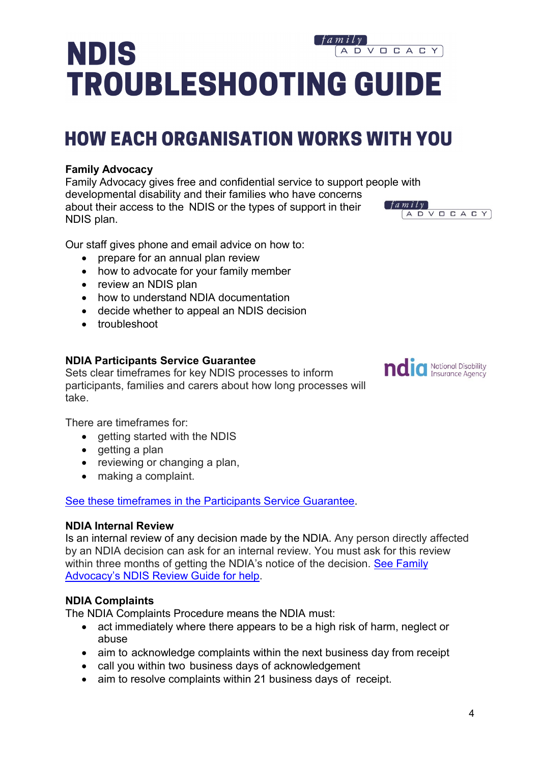## **NDIS** ADVOCACY **TROUBLESHOOTING GUIDE**

# **HOW EACH ORGANISATION WORKS WITH YOU**

#### **Family Advocacy**

Family Advocacy gives free and confidential service to support people with developmental disability and their families who have concerns  $f$ a mily about their access to the NDIS or the types of support in their ADVOCACY NDIS plan.

Our staff gives phone and email advice on how to:

- prepare for an annual plan review
- how to advocate for your family member
- review an NDIS plan
- how to understand NDIA documentation
- decide whether to appeal an NDIS decision
- troubleshoot

#### **NDIA Participants Service Guarantee**

Sets clear timeframes for key NDIS processes to inform participants, families and carers about how long processes will take.

There are timeframes for:

- getting started with the NDIS
- getting a plan
- reviewing or changing a plan,
- making a complaint.

See these [timeframes in the Participants Service Guarantee.](https://www.ndis.gov.au/about-us/policies/service-charter/participant-service-guarantee)

#### **NDIA Internal Review**

Is an internal review of any decision made by the NDIA. Any person directly affected by an NDIA decision can ask for an internal review. You must ask for this review within three months of getting the NDIA's notice of the decision. See Family [Advocacy's NDIS Review Guide for help.](https://www.family-advocacy.com/assets/Uploads/NDIS-Information-Update/04acb7d339/NDIS-review-guide.pdf)

#### **NDIA Complaints**

The NDIA Complaints Procedure means the NDIA must:

- act immediately where there appears to be a high risk of harm, neglect or abuse
- aim to acknowledge complaints within the next business day from receipt
- call you within two business days of acknowledgement
- aim to resolve complaints within 21 business days of receipt.